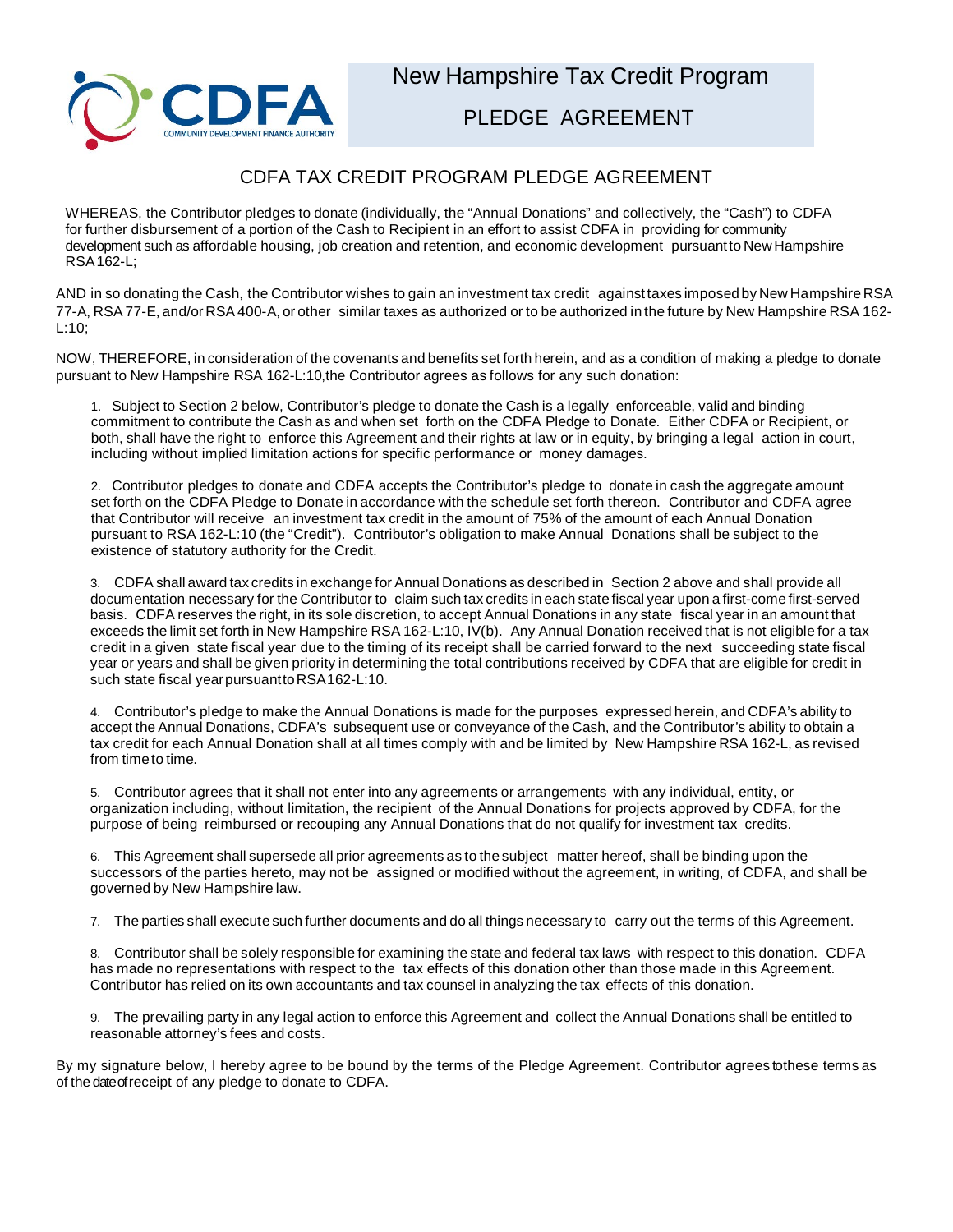

## CDFA TAX CREDIT PROGRAM PLEDGE AGREEMENT

WHEREAS, the Contributor pledges to donate (individually, the "Annual Donations" and collectively, the "Cash") to CDFA for further disbursement of a portion of the Cash to Recipient in an effort to assist CDFA in providing for community development such as affordable housing, job creation and retention, and economic development pursuantto New Hampshire RSA162-L;

AND in so donating the Cash, the Contributor wishes to gain an investment tax credit against taxes imposed by New Hampshire RSA 77-A, RSA 77-E, and/or RSA 400-A, or other similar taxes as authorized or to be authorized in the future by New Hampshire RSA 162- L:10;

NOW, THEREFORE, in consideration of the covenants and benefits set forth herein, and as a condition of making a pledge to donate pursuant to New Hampshire RSA 162-L:10,the Contributor agrees as follows for any such donation:

1. Subject to Section 2 below, Contributor's pledge to donate the Cash is a legally enforceable, valid and binding commitment to contribute the Cash as and when set forth on the CDFA Pledge to Donate. Either CDFA or Recipient, or both, shall have the right to enforce this Agreement and their rights at law or in equity, by bringing a legal action in court, including without implied limitation actions for specific performance or money damages.

2. Contributor pledges to donate and CDFA accepts the Contributor's pledge to donate in cash the aggregate amount set forth on the CDFA Pledge to Donate in accordance with the schedule set forth thereon. Contributor and CDFA agree that Contributor will receive an investment tax credit in the amount of 75% of the amount of each Annual Donation pursuant to RSA 162-L:10 (the "Credit"). Contributor's obligation to make Annual Donations shall be subject to the existence of statutory authority for the Credit.

3. CDFA shall award tax credits in exchange for Annual Donations as described in Section 2 above and shall provide all documentation necessary for the Contributor to claim such tax credits in each state fiscal year upon a first-come first-served basis. CDFA reserves the right, in its sole discretion, to accept Annual Donations in any state fiscal year in an amount that exceeds the limit set forth in New Hampshire RSA 162-L:10, IV(b). Any Annual Donation received that is not eligible for a tax credit in a given state fiscal year due to the timing of its receipt shall be carried forward to the next succeeding state fiscal year or years and shall be given priority in determining the total contributions received by CDFA that are eligible for credit in such state fiscal year pursuant to RSA162-L:10.

4. Contributor's pledge to make the Annual Donations is made for the purposes expressed herein, and CDFA's ability to accept the Annual Donations, CDFA's subsequent use or conveyance of the Cash, and the Contributor's ability to obtain a tax credit for each Annual Donation shall at all times comply with and be limited by New Hampshire RSA 162-L, as revised from timeto time.

5. Contributor agrees that it shall not enter into any agreements or arrangements with any individual, entity, or organization including, without limitation, the recipient of the Annual Donations for projects approved by CDFA, for the purpose of being reimbursed or recouping any Annual Donations that do not qualify for investment tax credits.

6. This Agreement shall supersede all prior agreements as to the subject matter hereof, shall be binding upon the successors of the parties hereto, may not be assigned or modified without the agreement, in writing, of CDFA, and shall be governed by New Hampshire law.

7. The parties shall execute such further documents and do all things necessary to carry out the terms of this Agreement.

8. Contributor shall be solely responsible for examining the state and federal tax laws with respect to this donation. CDFA has made no representations with respect to the tax effects of this donation other than those made in this Agreement. Contributor has relied on its own accountants and tax counsel in analyzing the tax effects of this donation.

9. The prevailing party in any legal action to enforce this Agreement and collect the Annual Donations shall be entitled to reasonable attorney's fees and costs.

By my signature below, I hereby agree to be bound by the terms of the Pledge Agreement. Contributor agrees to these terms as of the date of receipt of any pledge to donate to CDFA.